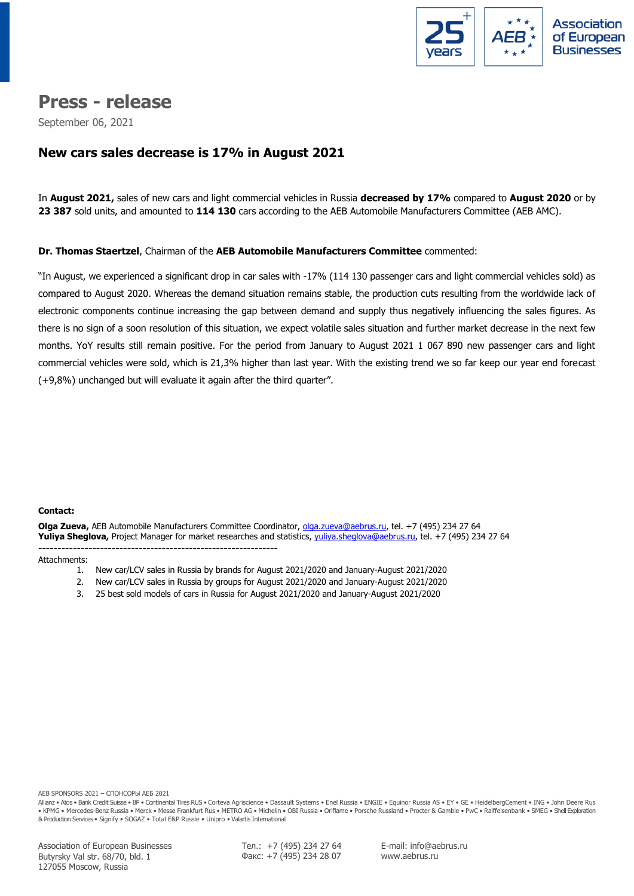

# **Press - release**

September 06, 2021

# **New cars sales decrease is 17% in August 2021**

In **August 2021,** sales of new cars and light commercial vehicles in Russia **decreased by 17%** compared to **August 2020** or by **23 387** sold units, and amounted to **114 130** cars according to the AEB Automobile Manufacturers Committee (AEB AMC).

### **Dr. Thomas Staertzel**, Chairman of the **AEB Automobile Manufacturers Committee** commented:

"In August, we experienced a significant drop in car sales with -17% (114 130 passenger cars and light commercial vehicles sold) as compared to August 2020. Whereas the demand situation remains stable, the production cuts resulting from the worldwide lack of electronic components continue increasing the gap between demand and supply thus negatively influencing the sales figures. As there is no sign of a soon resolution of this situation, we expect volatile sales situation and further market decrease in the next few months. YoY results still remain positive. For the period from January to August 2021 1 067 890 new passenger cars and light commercial vehicles were sold, which is 21,3% higher than last year. With the existing trend we so far keep our year end forecast (+9,8%) unchanged but will evaluate it again after the third quarter".

### **Сontact:**

**Olga Zueva,** AEB Automobile Manufacturers Committee Coordinator, [olga.zueva@aebrus.ru,](mailto:olga.zueva@aebrus.ru) tel. +7 (495) 234 27 64 **Yuliya Sheglova,** Project Manager for market researches and statistics, [yuliya.sheglova@aebrus.ru,](mailto:yuliya.sheglova@aebrus.ru) tel. +7 (495) 234 27 64 --------------------------------------------------------------

#### Attachments:

- 1. New car/LCV sales in Russia by brands for August 2021/2020 and January-August 2021/2020
- 2. New car/LCV sales in Russia by groups for August 2021/2020 and January-August 2021/2020
- 3. 25 best sold models of cars in Russia for August 2021/2020 and January-August 2021/2020

AEB SPONSORS 2021 – СПОНСОРЫ АЕБ 2021

Allianz • Atos • Bank Credit Suisse • BP • Continental Tires RUS • Corteva Agriscience • Dassault Systems • Enel Russia • ENGIE • Equinor Russia AS • EY • GE • HeidelbergCement • ING • John Deere Rus • KPMG • Mercedes-Benz Russia • Merck • Messe Frankfurt Rus • METRO AG • Michelin • OBI Russia • Oriflame • Porsche Russland • Procter & Gamble • PwC • Raiffeisenbank • SMEG • Shell Exploration & Production Services • Signify • SOGAZ • Total E&P Russie • Unipro • Valartis International

Тел.: +7 (495) 234 27 64 Факс: +7 (495) 234 28 07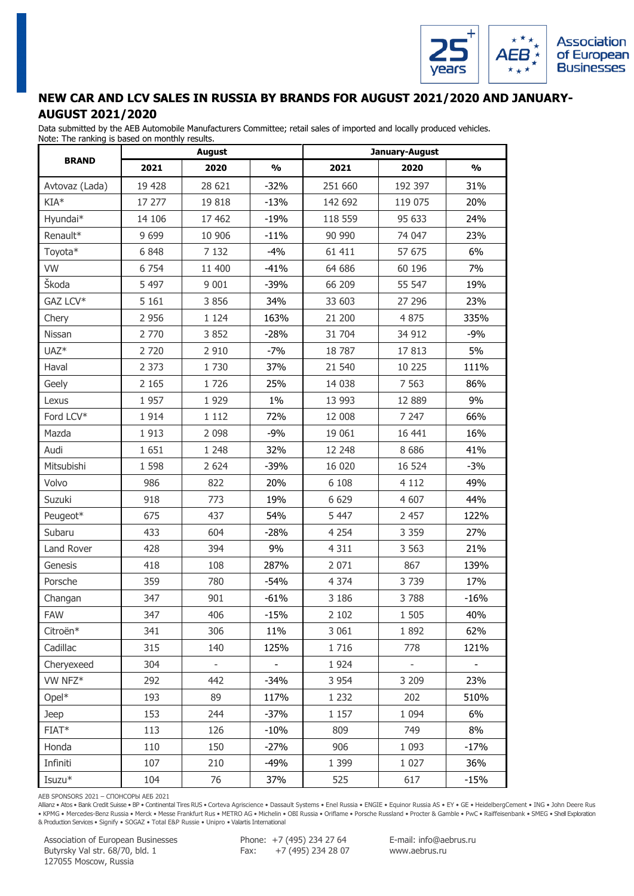

### **NEW CAR AND LCV SALES IN RUSSIA BY BRANDS FOR AUGUST 2021/2020 AND JANUARY-AUGUST 2021/2020**

Data submitted by the AEB Automobile Manufacturers Committee; retail sales of imported and locally produced vehicles. Note: The ranking is based on monthly results.

| rote: The furning is based on monemy results. |         | August                   |               |         | January-August |               |
|-----------------------------------------------|---------|--------------------------|---------------|---------|----------------|---------------|
| <b>BRAND</b>                                  | 2021    | 2020                     | $\frac{0}{0}$ | 2021    | 2020           | $\frac{0}{0}$ |
| Avtovaz (Lada)                                | 19 428  | 28 621                   | $-32%$        | 251 660 | 192 397        | 31%           |
| $KIA*$                                        | 17 277  | 19818                    | $-13%$        | 142 692 | 119 075        | 20%           |
| Hyundai*                                      | 14 10 6 | 17 462                   | $-19%$        | 118 559 | 95 633         | 24%           |
| Renault*                                      | 9 6 9 9 | 10 906                   | $-11%$        | 90 990  | 74 047         | 23%           |
| Toyota*                                       | 6 8 4 8 | 7 1 3 2                  | $-4%$         | 61 411  | 57 675         | 6%            |
| VW                                            | 6 7 5 4 | 11 400                   | $-41%$        | 64 686  | 60 196         | 7%            |
| Škoda                                         | 5 4 9 7 | 9 0 0 1                  | -39%          | 66 209  | 55 547         | 19%           |
| GAZ LCV*                                      | 5 1 6 1 | 3 8 5 6                  | 34%           | 33 603  | 27 29 6        | 23%           |
| Chery                                         | 2 9 5 6 | 1 1 2 4                  | 163%          | 21 200  | 4 8 7 5        | 335%          |
| Nissan                                        | 2 770   | 3 8 5 2                  | $-28%$        | 31 704  | 34 912         | $-9%$         |
| UAZ <sup>*</sup>                              | 2 7 2 0 | 2 9 1 0                  | $-7%$         | 18787   | 17813          | 5%            |
| Haval                                         | 2 3 7 3 | 1730                     | 37%           | 21 540  | 10 225         | 111%          |
| Geely                                         | 2 1 6 5 | 1726                     | 25%           | 14 0 38 | 7 5 6 3        | 86%           |
| Lexus                                         | 1957    | 1929                     | $1\%$         | 13 993  | 12 889         | 9%            |
| Ford LCV*                                     | 1914    | 1 1 1 2                  | 72%           | 12 008  | 7 247          | 66%           |
| Mazda                                         | 1913    | 2 0 9 8                  | $-9%$         | 19 061  | 16 441         | 16%           |
| Audi                                          | 1 651   | 1 2 4 8                  | 32%           | 12 248  | 8686           | 41%           |
| Mitsubishi                                    | 1 5 9 8 | 2 6 2 4                  | -39%          | 16 0 20 | 16 524         | $-3%$         |
| Volvo                                         | 986     | 822                      | 20%           | 6 1 0 8 | 4 1 1 2        | 49%           |
| Suzuki                                        | 918     | 773                      | 19%           | 6 6 2 9 | 4 607          | 44%           |
| Peugeot*                                      | 675     | 437                      | 54%           | 5 4 4 7 | 2 4 5 7        | 122%          |
| Subaru                                        | 433     | 604                      | $-28%$        | 4 2 5 4 | 3 3 5 9        | 27%           |
| Land Rover                                    | 428     | 394                      | 9%            | 4 3 1 1 | 3 5 6 3        | 21%           |
| Genesis                                       | 418     | 108                      | 287%          | 2 0 7 1 | 867            | 139%          |
| Porsche                                       | 359     | 780                      | $-54%$        | 4 3 7 4 | 3739           | 17%           |
| Changan                                       | 347     | 901                      | $-61%$        | 3 1 8 6 | 3788           | $-16%$        |
| <b>FAW</b>                                    | 347     | 406                      | $-15%$        | 2 1 0 2 | 1 5 0 5        | 40%           |
| Citroën*                                      | 341     | 306                      | 11%           | 3 0 6 1 | 1892           | 62%           |
| Cadillac                                      | 315     | 140                      | 125%          | 1716    | 778            | 121%          |
| Cheryexeed                                    | 304     | $\overline{\phantom{0}}$ |               | 1924    |                |               |
| VW NFZ*                                       | 292     | 442                      | $-34%$        | 3 9 5 4 | 3 2 0 9        | 23%           |
| $Opel*$                                       | 193     | 89                       | 117%          | 1 2 3 2 | 202            | 510%          |
| Jeep                                          | 153     | 244                      | $-37%$        | 1 1 5 7 | 1 0 9 4        | 6%            |
| FIAT*                                         | 113     | 126                      | $-10%$        | 809     | 749            | 8%            |
| Honda                                         | 110     | 150                      | $-27%$        | 906     | 1 0 9 3        | $-17%$        |
| Infiniti                                      | 107     | 210                      | -49%          | 1 3 9 9 | 1 0 2 7        | 36%           |
| Isuzu*                                        | 104     | 76                       | 37%           | 525     | 617            | $-15%$        |

AEB SPONSORS 2021 – СПОНСОРЫ АЕБ 2021

Allianz • Atos • Bank Credit Suisse • BP • Continental Tires RUS • Corteva Agriscience • Dassault Systems • Enel Russia • ENGIE • Equinor Russia AS • EY • GE • HeidelbergCement • ING • John Deere Rus • KPMG • Mercedes-Benz Russia • Merck • Messe Frankfurt Rus • METRO AG • Michelin • OBI Russia • Oriflame • Porsche Russland • Procter & Gamble • PwC • Raiffeisenbank • SMEG • Shell Exploration<br>& Production Services • Sign

Association of European Businesses Butyrsky Val str. 68/70, bld. 1 127055 Moscow, Russia

Phone: +7 (495) 234 27 64 Fax:  $+7(495)$  234 28 07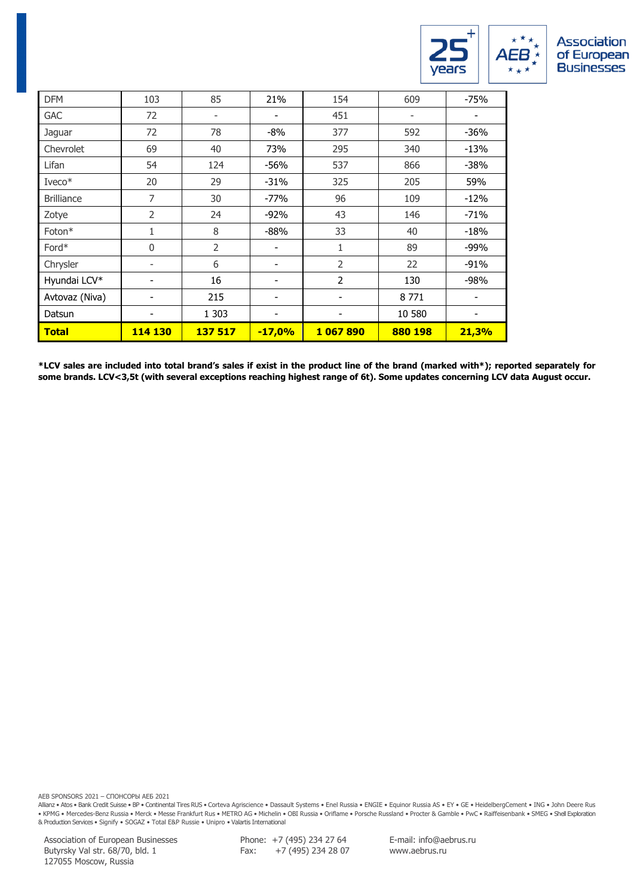

| <b>DFM</b>        | 103          | 85                           | 21%                      | 154            | 609     | $-75%$ |
|-------------------|--------------|------------------------------|--------------------------|----------------|---------|--------|
| <b>GAC</b>        | 72           | $\qquad \qquad \blacksquare$ | ۰                        | 451            | ۰       | ۰      |
| Jaguar            | 72           | 78                           | $-8%$                    | 377            | 592     | -36%   |
| Chevrolet         | 69           | 40                           | 73%                      | 295            | 340     | $-13%$ |
| Lifan             | 54           | 124                          | $-56%$                   | 537            | 866     | $-38%$ |
| $I$ veco $*$      | 20           | 29                           | $-31%$                   | 325            | 205     | 59%    |
| <b>Brilliance</b> | 7            | 30                           | -77%                     | 96             | 109     | $-12%$ |
| Zotye             | 2            | 24                           | $-92%$                   | 43             | 146     | $-71%$ |
| Foton*            | 1            | 8                            | $-88%$                   | 33             | 40      | $-18%$ |
| Ford*             | $\mathbf{0}$ | 2                            |                          | $\mathbf{1}$   | 89      | $-99%$ |
| Chrysler          | -            | 6                            | $\overline{\phantom{0}}$ | $\overline{2}$ | 22      | $-91%$ |
| Hyundai LCV*      |              | 16                           |                          | $\overline{2}$ | 130     | $-98%$ |
| Avtovaz (Niva)    |              | 215                          |                          |                | 8771    |        |
| Datsun            |              | 1 3 0 3                      |                          |                | 10 580  |        |
| <b>Total</b>      | 114 130      | 137 517                      | $-17,0%$                 | 1067890        | 880 198 | 21,3%  |

**\*LCV sales are included into total brand's sales if exist in the product line of the brand (marked with\*); reported separately for some brands. LCV<3,5t (with several exceptions reaching highest range of 6t). Some updates concerning LCV data August occur.**

AEB SPONSORS 2021 – СПОНСОРЫ АЕБ 2021

Allianz • Atos • Bank Credit Suisse • BP • Continental Tires RUS • Corteva Agriscience • Dassault Systems • Enel Russia • ENGIE • Equinor Russia AS • EY • GE • HeidelbergCement • ING • John Deere Rus • KPMG • Mercedes-Benz Russia • Merck • Messe Frankfurt Rus • METRO AG • Michelin • OBI Russia • Oriflame • Porsche Russland • Procter & Gamble • PwC • Raiffeisenbank • SMEG • Shell Exploration<br>& Production Services • Sign

Association of European Businesses Butyrsky Val str. 68/70, bld. 1 127055 Moscow, Russia

Phone: +7 (495) 234 27 64 Fax: +7 (495) 234 28 07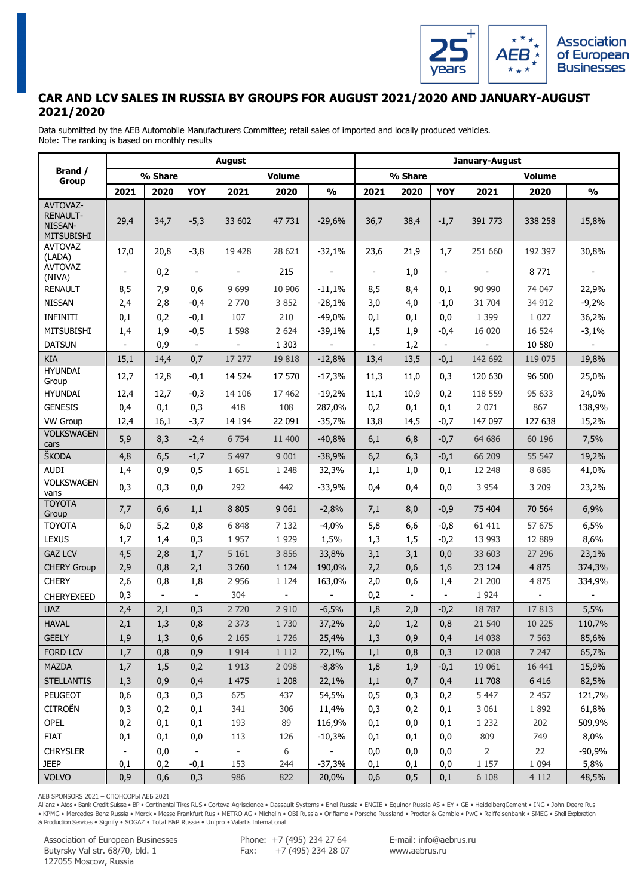

# **CAR AND LCV SALES IN RUSSIA BY GROUPS FOR AUGUST 2021/2020 AND JANUARY-AUGUST 2021/2020**

Data submitted by the AEB Automobile Manufacturers Committee; retail sales of imported and locally produced vehicles. Note: The ranking is based on monthly results

|                                                             |                          |         |                          | August                   |               |                          |                          |         |                          | January-August |                          |                          |
|-------------------------------------------------------------|--------------------------|---------|--------------------------|--------------------------|---------------|--------------------------|--------------------------|---------|--------------------------|----------------|--------------------------|--------------------------|
| Brand /<br><b>Group</b>                                     |                          | % Share |                          |                          | <b>Volume</b> |                          |                          | % Share |                          |                | <b>Volume</b>            |                          |
|                                                             | 2021                     | 2020    | <b>YOY</b>               | 2021                     | 2020          | $\frac{0}{0}$            | 2021                     | 2020    | <b>YOY</b>               | 2021           | 2020                     | $\frac{0}{0}$            |
| AVTOVAZ-<br><b>RENAULT-</b><br>NISSAN-<br><b>MITSUBISHI</b> | 29,4                     | 34,7    | $-5,3$                   | 33 602                   | 47 731        | $-29,6%$                 | 36,7                     | 38,4    | $-1,7$                   | 391 773        | 338 258                  | 15,8%                    |
| <b>AVTOVAZ</b><br>(LADA)                                    | 17,0                     | 20,8    | $-3,8$                   | 19 428                   | 28 621        | $-32,1%$                 | 23,6                     | 21,9    | 1,7                      | 251 660        | 192 397                  | 30,8%                    |
| <b>AVTOVAZ</b><br>(NIVA)                                    | $\overline{\phantom{a}}$ | 0,2     | $\overline{\phantom{a}}$ | $\overline{\phantom{a}}$ | 215           | $\overline{\phantom{a}}$ | $\overline{\phantom{a}}$ | 1,0     | $\overline{\phantom{a}}$ |                | 8771                     | $\overline{\phantom{a}}$ |
| <b>RENAULT</b>                                              | 8,5                      | 7,9     | 0,6                      | 9 6 9 9                  | 10 906        | $-11,1%$                 | 8,5                      | 8,4     | 0,1                      | 90 990         | 74 047                   | 22,9%                    |
| <b>NISSAN</b>                                               | 2,4                      | 2,8     | $-0,4$                   | 2 770                    | 3 8 5 2       | $-28,1%$                 | 3,0                      | 4,0     | $-1,0$                   | 31 704         | 34 912                   | $-9,2%$                  |
| <b>INFINITI</b>                                             | 0,1                      | 0,2     | $-0,1$                   | 107                      | 210           | $-49,0%$                 | 0,1                      | 0,1     | 0,0                      | 1 3 9 9        | 1 0 2 7                  | 36,2%                    |
| <b>MITSUBISHI</b>                                           | 1,4                      | 1,9     | $-0,5$                   | 1 5 9 8                  | 2 6 2 4       | $-39,1%$                 | 1,5                      | 1,9     | $-0,4$                   | 16 020         | 16 524                   | $-3,1%$                  |
| <b>DATSUN</b>                                               |                          | 0,9     |                          |                          | 1 3 0 3       |                          |                          | 1,2     | $\blacksquare$           |                | 10 580                   |                          |
| KIA                                                         | 15,1                     | 14,4    | 0,7                      | 17 277                   | 19818         | $-12,8%$                 | 13,4                     | 13,5    | $-0,1$                   | 142 692        | 119 075                  | 19,8%                    |
| <b>HYUNDAI</b><br>Group                                     | 12,7                     | 12,8    | $-0,1$                   | 14 5 24                  | 17 570        | $-17,3%$                 | 11,3                     | 11,0    | 0,3                      | 120 630        | 96 500                   | 25,0%                    |
| <b>HYUNDAI</b>                                              | 12,4                     | 12,7    | $-0,3$                   | 14 10 6                  | 17 462        | $-19,2%$                 | 11,1                     | 10,9    | 0,2                      | 118 559        | 95 633                   | 24,0%                    |
| <b>GENESIS</b>                                              | 0,4                      | 0,1     | 0,3                      | 418                      | 108           | 287,0%                   | 0,2                      | 0,1     | 0,1                      | 2 0 7 1        | 867                      | 138,9%                   |
| <b>VW Group</b>                                             | 12,4                     | 16,1    | $-3,7$                   | 14 194                   | 22 091        | $-35,7%$                 | 13,8                     | 14,5    | $-0,7$                   | 147 097        | 127 638                  | 15,2%                    |
| <b>VOLKSWAGEN</b><br>cars                                   | 5,9                      | 8,3     | $-2,4$                   | 6 7 5 4                  | 11 400        | $-40,8%$                 | 6,1                      | 6,8     | $-0,7$                   | 64 686         | 60 196                   | 7,5%                     |
| ŠKODA                                                       | 4,8                      | 6,5     | $-1,7$                   | 5 4 9 7                  | 9 0 0 1       | $-38,9%$                 | 6,2                      | 6,3     | $-0,1$                   | 66 209         | 55 547                   | 19,2%                    |
| <b>AUDI</b>                                                 | 1,4                      | 0,9     | 0,5                      | 1 6 5 1                  | 1 2 4 8       | 32,3%                    | 1,1                      | 1,0     | 0,1                      | 12 248         | 8 6 8 6                  | 41,0%                    |
| <b>VOLKSWAGEN</b><br>vans                                   | 0,3                      | 0,3     | 0,0                      | 292                      | 442           | $-33,9%$                 | 0,4                      | 0,4     | 0,0                      | 3 9 5 4        | 3 2 0 9                  | 23,2%                    |
| <b>TOYOTA</b><br>Group                                      | 7,7                      | 6, 6    | 1,1                      | 8 8 0 5                  | 9 0 6 1       | $-2,8%$                  | 7,1                      | 8,0     | $-0,9$                   | 75 404         | 70 564                   | 6,9%                     |
| <b>TOYOTA</b>                                               | 6,0                      | 5,2     | 0,8                      | 6 8 4 8                  | 7 1 3 2       | $-4,0%$                  | 5,8                      | 6,6     | $-0,8$                   | 61 411         | 57 675                   | 6,5%                     |
| <b>LEXUS</b>                                                | 1,7                      | 1,4     | 0,3                      | 1 9 5 7                  | 1 9 2 9       | 1,5%                     | 1,3                      | 1,5     | $-0,2$                   | 13 993         | 12 8 89                  | 8,6%                     |
| <b>GAZ LCV</b>                                              | 4,5                      | 2,8     | 1,7                      | 5 1 6 1                  | 3 8 5 6       | 33,8%                    | 3,1                      | 3,1     | 0,0                      | 33 603         | 27 29 6                  | 23,1%                    |
| <b>CHERY Group</b>                                          | 2,9                      | 0,8     | 2,1                      | 3 2 6 0                  | 1 1 2 4       | 190,0%                   | 2,2                      | 0,6     | 1,6                      | 23 124         | 4 8 7 5                  | 374,3%                   |
| <b>CHERY</b>                                                | 2,6                      | 0,8     | 1,8                      | 2 9 5 6                  | 1 1 2 4       | 163,0%                   | 2,0                      | 0,6     | 1,4                      | 21 200         | 4 8 7 5                  | 334,9%                   |
| <b>CHERYEXEED</b>                                           | 0,3                      |         |                          | 304                      |               |                          | 0,2                      |         |                          | 1 9 2 4        | $\overline{\phantom{a}}$ |                          |
| <b>UAZ</b>                                                  | 2,4                      | 2,1     | 0,3                      | 2 7 2 0                  | 2 9 1 0       | $-6,5%$                  | 1,8                      | 2,0     | $-0,2$                   | 18 7 87        | 17813                    | 5,5%                     |
| <b>HAVAL</b>                                                | 2,1                      | 1,3     | 0,8                      | 2 3 7 3                  | 1 7 3 0       | 37,2%                    | 2,0                      | 1,2     | 0,8                      | 21 540         | 10 225                   | 110,7%                   |
| <b>GEELY</b>                                                | 1,9                      | 1,3     | 0,6                      | 2 1 6 5                  | 1726          | 25,4%                    | 1,3                      | 0,9     | 0,4                      | 14 0 38        | 7 5 6 3                  | 85,6%                    |
| <b>FORD LCV</b>                                             | 1,7                      | 0,8     | 0,9                      | 1 9 1 4                  | 1 1 1 2       | 72,1%                    | 1,1                      | 0,8     | 0,3                      | 12 008         | 7 2 4 7                  | 65,7%                    |
| MAZDA                                                       | 1,7                      | 1,5     | 0,2                      | 1 9 1 3                  | 2 0 9 8       | $-8,8%$                  | 1,8                      | 1,9     | $-0,1$                   | 19 061         | 16 441                   | 15,9%                    |
| <b>STELLANTIS</b>                                           | 1,3                      | 0,9     | 0,4                      | 1 475                    | 1 208         | 22,1%                    | 1,1                      | 0,7     | 0,4                      | 11 708         | 6 4 1 6                  | 82,5%                    |
| PEUGEOT                                                     | 0,6                      | 0,3     | 0,3                      | 675                      | 437           | 54,5%                    | 0, 5                     | 0,3     | 0,2                      | 5 4 4 7        | 2 4 5 7                  | 121,7%                   |
| <b>CITROËN</b>                                              | 0,3                      | 0,2     | 0,1                      | 341                      | 306           | 11,4%                    | 0,3                      | 0,2     | 0,1                      | 3 0 6 1        | 1892                     | 61,8%                    |
| OPEL                                                        | 0,2                      | 0,1     | 0,1                      | 193                      | 89            | 116,9%                   | 0,1                      | 0,0     | 0,1                      | 1 2 3 2        | 202                      | 509,9%                   |
| <b>FIAT</b>                                                 | 0,1                      | 0,1     | 0,0                      | 113                      | 126           | $-10,3%$                 | 0,1                      | 0,1     | 0,0                      | 809            | 749                      | 8,0%                     |
| <b>CHRYSLER</b>                                             | $\blacksquare$           | 0,0     | $\blacksquare$           | $\overline{\phantom{a}}$ | 6             | $\overline{\phantom{0}}$ | 0,0                      | 0,0     | 0,0                      | $\overline{2}$ | 22                       | $-90,9%$                 |
| <b>JEEP</b>                                                 | 0,1                      | 0,2     | $-0,1$                   | 153                      | 244           | $-37,3%$                 | 0,1                      | 0,1     | 0,0                      | 1 1 5 7        | 1 0 9 4                  | 5,8%                     |
| <b>VOLVO</b>                                                | 0,9                      | 0,6     | 0,3                      | 986                      | 822           | 20,0%                    | 0,6                      | 0, 5    | 0,1                      | 6 1 0 8        | 4 1 1 2                  | 48,5%                    |

AEB SPONSORS 2021 – СПОНСОРЫ АЕБ 2021

Allianz • Atos • Bank Credit Suisse • BP • Continental Tires RUS • Corteva Agriscience • Dassault Systems • Enel Russia • ENGIE • Equinor Russia AS • EY • GE • HeidelbergCement • ING • John Deere Rus • KPMG • Mercedes-Benz Russia • Merck • Messe Frankfurt Rus • METRO AG • Michelin • OBI Russia • Oriflame • Porsche Russland • Procter & Gamble • PwC • Raiffeisenbank • SMEG • Shell Exploration & Production Services • Signify • SOGAZ • Total E&P Russie • Unipro • Valartis International

Association of European Businesses Butyrsky Val str. 68/70, bld. 1 127055 Moscow, Russia

Phone: +7 (495) 234 27 64 Fax:  $+7(495)$  234 28 07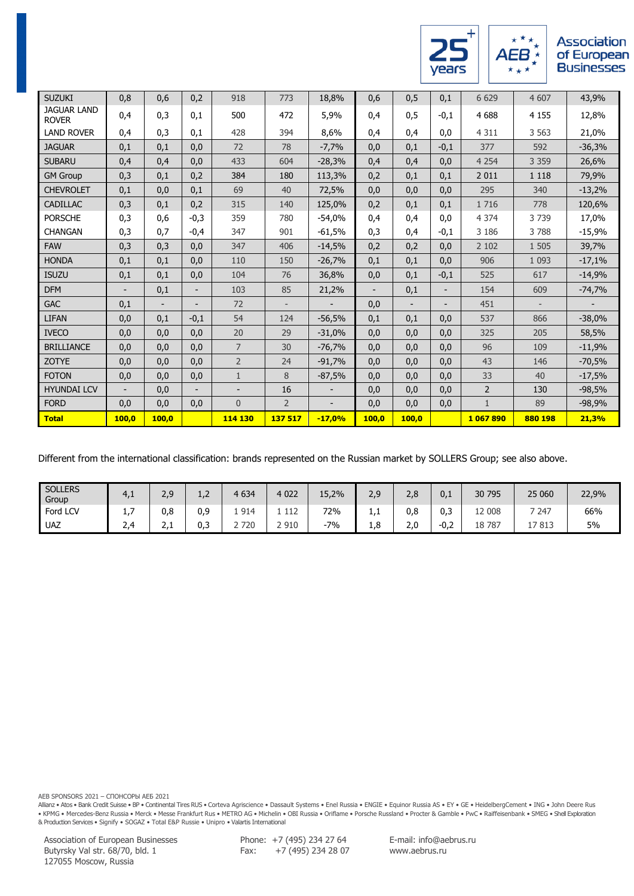

 $A\overset{\star}{\mathbf{E}}\overset{\star}{\mathbf{B}}\overset{\star}{\underset{\star}{\star}}$ 

| <b>SUZUKI</b>                      | 0,8                      | 0,6   | 0,2                      | 918            | 773            | 18,8%    | 0,6                      | 0,5                      | 0,1                      | 6 6 29         | 4 607             | 43,9%    |
|------------------------------------|--------------------------|-------|--------------------------|----------------|----------------|----------|--------------------------|--------------------------|--------------------------|----------------|-------------------|----------|
| <b>JAGUAR LAND</b><br><b>ROVER</b> | 0,4                      | 0,3   | 0,1                      | 500            | 472            | 5,9%     | 0,4                      | 0,5                      | $-0,1$                   | 4 6 8 8        | 4 1 5 5           | 12,8%    |
| <b>LAND ROVER</b>                  | 0,4                      | 0,3   | 0,1                      | 428            | 394            | 8,6%     | 0,4                      | 0,4                      | 0,0                      | 4 3 1 1        | 3 5 6 3           | 21,0%    |
| <b>JAGUAR</b>                      | 0,1                      | 0,1   | 0,0                      | 72             | 78             | $-7,7%$  | 0,0                      | 0,1                      | $-0,1$                   | 377            | 592               | $-36,3%$ |
| <b>SUBARU</b>                      | 0,4                      | 0,4   | 0,0                      | 433            | 604            | $-28,3%$ | 0,4                      | 0,4                      | 0,0                      | 4 2 5 4        | 3 3 5 9           | 26,6%    |
| <b>GM Group</b>                    | 0,3                      | 0,1   | 0,2                      | 384            | 180            | 113,3%   | 0,2                      | 0,1                      | 0,1                      | 2 0 1 1        | 1 1 1 8           | 79,9%    |
| <b>CHEVROLET</b>                   | 0,1                      | 0,0   | 0,1                      | 69             | 40             | 72,5%    | 0,0                      | 0,0                      | 0,0                      | 295            | 340               | $-13,2%$ |
| <b>CADILLAC</b>                    | 0,3                      | 0,1   | 0,2                      | 315            | 140            | 125,0%   | 0,2                      | 0,1                      | 0,1                      | 1 7 1 6        | 778               | 120,6%   |
| <b>PORSCHE</b>                     | 0,3                      | 0,6   | $-0,3$                   | 359            | 780            | $-54,0%$ | 0,4                      | 0,4                      | 0,0                      | 4 3 7 4        | 3739              | 17,0%    |
| <b>CHANGAN</b>                     | 0,3                      | 0,7   | $-0,4$                   | 347            | 901            | $-61,5%$ | 0,3                      | 0,4                      | $-0,1$                   | 3 1 8 6        | 3788              | $-15,9%$ |
| <b>FAW</b>                         | 0,3                      | 0,3   | 0,0                      | 347            | 406            | $-14,5%$ | 0,2                      | 0,2                      | 0,0                      | 2 1 0 2        | 1 5 0 5           | 39,7%    |
| <b>HONDA</b>                       | 0,1                      | 0,1   | 0,0                      | 110            | 150            | $-26,7%$ | 0,1                      | 0,1                      | 0,0                      | 906            | 1 0 9 3           | $-17,1%$ |
| <b>ISUZU</b>                       | 0,1                      | 0,1   | 0,0                      | 104            | 76             | 36,8%    | 0,0                      | 0,1                      | $-0,1$                   | 525            | 617               | $-14,9%$ |
| <b>DFM</b>                         | $\overline{\phantom{a}}$ | 0,1   | $\overline{\phantom{a}}$ | 103            | 85             | 21,2%    | $\overline{\phantom{a}}$ | 0,1                      | $\overline{\phantom{a}}$ | 154            | 609               | $-74,7%$ |
| <b>GAC</b>                         | 0,1                      |       | $\overline{\phantom{a}}$ | 72             |                |          | 0,0                      | $\overline{\phantom{0}}$ | $\overline{\phantom{a}}$ | 451            | $\qquad \qquad -$ |          |
| <b>LIFAN</b>                       | 0,0                      | 0,1   | $-0,1$                   | 54             | 124            | $-56,5%$ | 0,1                      | 0,1                      | 0,0                      | 537            | 866               | $-38,0%$ |
| <b>IVECO</b>                       | 0,0                      | 0,0   | 0,0                      | 20             | 29             | $-31,0%$ | 0,0                      | 0,0                      | 0,0                      | 325            | 205               | 58,5%    |
| <b>BRILLIANCE</b>                  | 0,0                      | 0,0   | 0,0                      | $\overline{7}$ | 30             | $-76,7%$ | 0,0                      | 0,0                      | 0,0                      | 96             | 109               | $-11,9%$ |
| <b>ZOTYE</b>                       | 0,0                      | 0,0   | 0,0                      | $\overline{2}$ | 24             | $-91,7%$ | 0,0                      | 0,0                      | 0,0                      | 43             | 146               | $-70,5%$ |
| <b>FOTON</b>                       | 0,0                      | 0,0   | 0,0                      | $\mathbf{1}$   | 8              | $-87,5%$ | 0,0                      | 0,0                      | 0,0                      | 33             | 40                | $-17,5%$ |
| <b>HYUNDAI LCV</b>                 |                          | 0,0   |                          |                | 16             |          | 0,0                      | 0,0                      | 0,0                      | $\overline{2}$ | 130               | $-98,5%$ |
| <b>FORD</b>                        | 0,0                      | 0,0   | 0,0                      | $\overline{0}$ | $\overline{2}$ |          | 0,0                      | 0,0                      | 0,0                      | $\mathbf{1}$   | 89                | $-98,9%$ |
| <b>Total</b>                       | 100,0                    | 100,0 |                          | 114 130        | 137 517        | $-17,0%$ | 100,0                    | 100,0                    |                          | 1 067 890      | 880 198           | 21,3%    |

Different from the international classification: brands represented on the Russian market by SOLLERS Group; see also above.

| <b>SOLLERS</b><br>Group | 4 <sub>1</sub>              | 2,9          | <b></b> | 4 6 3 4 | 4 0 2 2 | 15,2% | 2.9        | ה ר<br>Z,c | 0,1    | 30 795        | 25 060  | 22,9% |
|-------------------------|-----------------------------|--------------|---------|---------|---------|-------|------------|------------|--------|---------------|---------|-------|
| Ford LCV                | <u>، ، ۱</u>                | 0,8          | 0.9     | 1914    | 112     | 72%   | <b>+,+</b> | 0,8        | 0,3    | 008<br>$\sim$ | 7 2 4 7 | 66%   |
| <b>UAZ</b>              | $\mathcal{L}^{\mathcal{A}}$ | <u>_ . _</u> | 0,3     | 2 7 2 0 | 2 9 1 0 | $-7%$ | 1.8        | ח ר<br>z.u | $-0,2$ | 787<br>18     | .7813   | 5%    |

AEB SPONSORS 2021 – СПОНСОРЫ АЕБ 2021

Allianz • Atos • Bank Credit Suisse • BP • Continental Tires RUS • Corteva Agriscience • Dassault Systems • Enel Russia • ENGIE • Equinor Russia AS • EY • GE • HeidelbergCement • ING • John Deere Rus • KPMG • Mercedes-Benz Russia • Merck • Messe Frankfurt Rus • METRO AG • Michelin • OBI Russia • Oriflame • Porsche Russland • Procter & Gamble • PwC • Raiffeisenbank • SMEG • Shell Exploration<br>& Production Services • Sign

Association of European Businesses Butyrsky Val str. 68/70, bld. 1 127055 Moscow, Russia

Phone: +7 (495) 234 27 64 Fax: +7 (495) 234 28 07